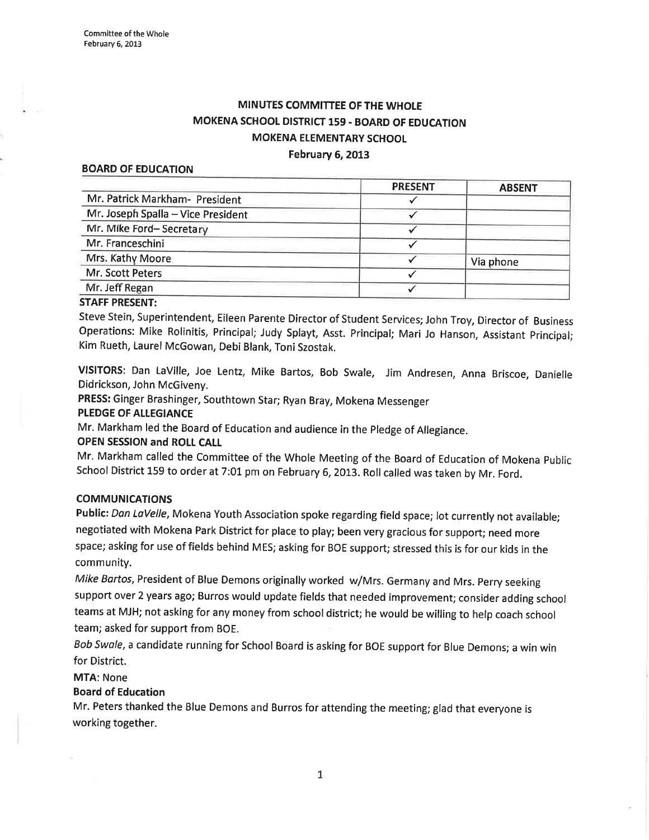# MINUTES COMMITTEE OFTHE WHOLE MOKENA SCHOOL DISTRICT 159 - BOARD OF EDUCATION MOKENA ELEMENTARY SCHOOL February 6, 2013

#### BOARD OF EDUCATION

|                                    | <b>PRESENT</b> | <b>ABSENT</b> |
|------------------------------------|----------------|---------------|
| Mr. Patrick Markham- President     |                |               |
| Mr. Joseph Spalla - Vice President |                |               |
| Mr. Mike Ford-Secretary            |                |               |
| Mr. Franceschini                   |                |               |
| Mrs. Kathy Moore                   |                | Via phone     |
| Mr. Scott Peters                   |                |               |
| Mr. Jeff Regan                     |                |               |
|                                    |                |               |

#### STAFF PRESENT:

Steve Stein, Superintendent, Eileen Parente Director of Student Services; John Troy, Director of Business Operations: Mike Rolinitis, Principal; Judy Splayt, Asst. Principal; Mari Jo Hanson, Assistant Principal; Kim Rueth, Laurel McGowan, Debi Blank, Toni Szostak.

VISITORS: Dan LaVille, Joe Lentz, Mike Bartos, Bob Swale, Jim Andresen, Anna Briscoe, Danielle Didrickson, John McGiveny.

PRESS: Ginger Brashinger, Southtown Star; Ryan Bray, Mokena Messenger

### PLEDGE OF ALLEGIANCE

Mr. Markham led the Board of Education and audience in the Pledge of Allegiance.

### OPEN SESSION and ROLL CALI

Mr. Markham called the Committee of the Whole Meeting of the Board of Education of Mokena Public School District 159 to order at 7:01 pm on February 6, 2013. Roll called was taken by Mr. Ford.

### COMMUNICATIONS

Public: Dan LaVelle, Mokena Youth Association spoke regarding field space; lot currently not available; negotiated with Mokena Park District for place to play; been very gracious for support; need more space; asking for use of fields behind MES; asking for BOE support; stressed this is for our kids in the community.

Mike Bartos, President of Blue Demons originally worked w/Mrs. Germany and Mrs. Perry seeking support over 2 years ago; Burros would update fields that needed improvement; consider adding school teams at MJH; not asking for any money from school district; he would be willing to help coach school team; asked for support from BOE.

Bob Swole, a candidate running for School Board is asking for BOE support for Blue Demons; a win win for District.

### MTA: None

### Board of Education

Mr. Peters thanked the Blue Demons and Burros for attending the meeting; glad that everyone is working together.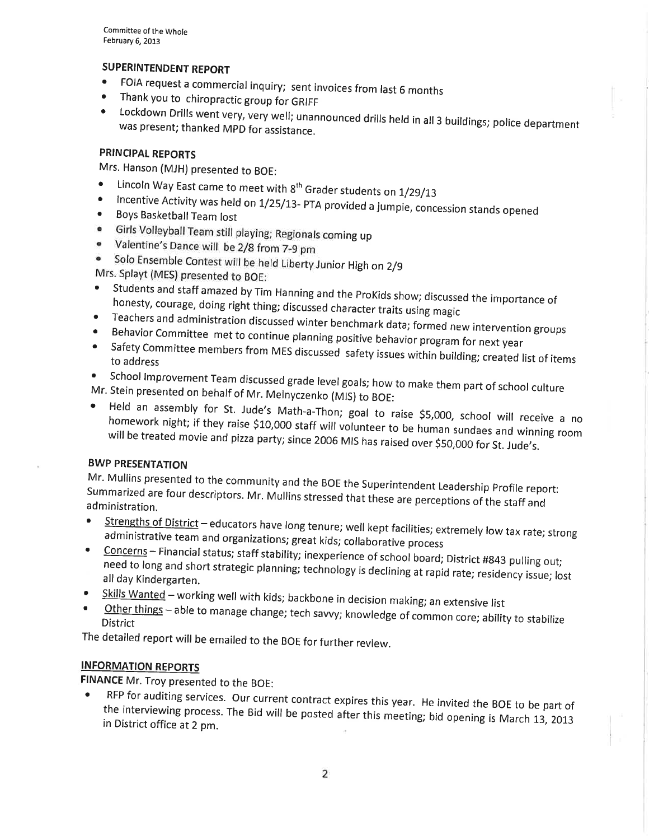Committee of the Whole February 6, 2013

## SUPERINTENDENT REPORT

- FOIA request a commercial inquiry; sent invoices from last 6 months<br>• Thank you to chiropractic group for GRIFF<br>• Lockdown Drills wont very very will
- 
- was present; Lockdown Drills went very, very well; unannounced drills held in all 3 buildings; police department<br>was present; thanked MPD for assistance.

### PRINCIPAL REPORTS

- Mrs. Hanson (MJH) presented to BOE:<br>• Lincoln Way East came to meet with 8<sup>th</sup> Grader students on 1/29/13
- Lincoln Way East came to meet with 8<sup>th</sup> Grader students on 1/29/13<br>• Incentive Activity was held on 1/25/13- PTA provided a jumpie, concession stands opened<br>• Boys Basketball Team lost
- 
- Girls Volleyball Team still playing; Regionals coming up
- Valentine's Dance will be 2/8 from 7-9 pm
- Solo Ensemble Contest will be held Liberty Junior High on 2/9  $\bullet$

- **Students and staff amazed by Tim Hanning and the ProKids show; discussed the importance of Students and staff amazed by Tim Hanning and the ProKids show; discussed the importance of honesty, courage, doing right thing: di** honesty, courage, doing right thing; discussed character traits using magic
- Teachers and administration discussed winter benchmark data; formed new intervention groups o
- 
- Teachers and administration discussed winter benchmark data; formed new intervention groups<br>• Behavior Committee met to continue planning positive behavior program for next year<br>• Safety Committee members from MES discus
- $\bullet$ Mr. Stein presented • School Improvement Team discussed grade level goals; how to make them part of school culture<br>Mr. Stein presented on behalf of Mr. Melnyczenko (MIS) to BOE:<br>• Held an assembly for St. Jude's Math a Theny and June 10 de
- 
- Held an assembly for St. Jude's Math-a-Thon; goal to raise \$5,000, school will receive a no<br>homework night: if they raise \$10,000 staff will voluntaant view. will be treated movie night; if they raise \$10,000 staff will volunteer to be human sundaes and winning room<br>ed movie and pizza party; since 2006 MIS has raised over \$50,000 for St. Jude's.

### BWP PRESENTATION

Mr. Mullins presented to the community and the BOE the Superintendent Leadership Profile report: administration. Summarized are four descriptors. Mr. Mullins stressed that these are perceptions of the staff and

- Strengths of District educators have long tenure; well kept facilities; extremely low tax rate; strong administrative team and organizations; great kids; collaborative process
- Concerns Financial status; staff stability; inexperience of school board; District #843 pulling out; all day Kindergarten. need to long and short strategic planning; technology is declining at rapid rate; residency issue; lost
- 
- Skills Wanted working well with kids; backbone in decision making; an extensive list<br>Other things able to manage change; tech savvy; knowledge of common core; ability to stabilize<br>District

The detailed report will be emailed to the BOE for further review.

## INFORMATION REPORTS

**FINANCE** Mr. Troy presented to the BOE:<br>• RFP for auditing services. Our current contract expires this year. He invited the BOE to be part of the interviewing process. The Bid will be posted after this meeting; bid opening is March 13, 2013 in District office at 2 pm.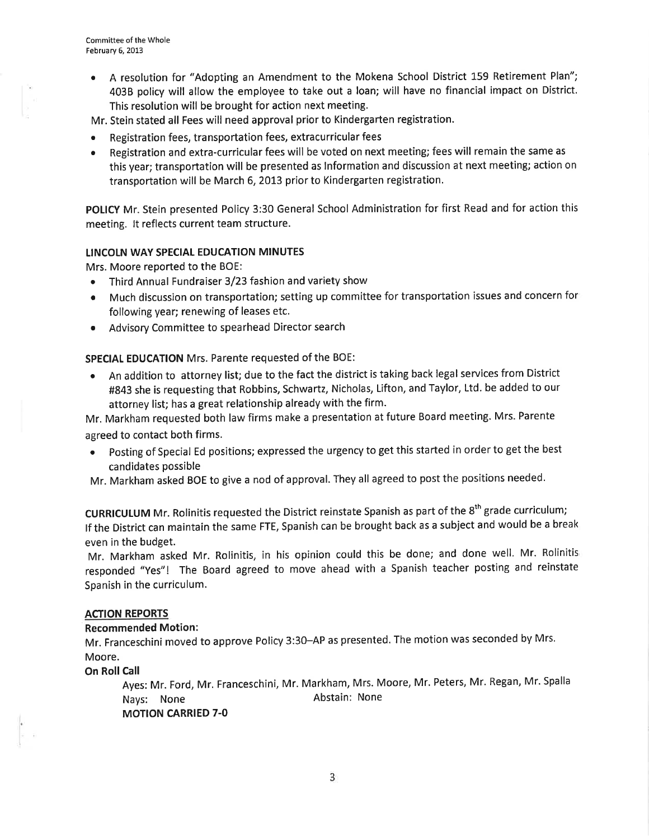- . <sup>A</sup>resolution for "Adopting an Amendment to the Mokena School District 159 Retirement Plan"; 4038 policy will allow the employee to take out a loan; will have no financial impact on District. This resolution will be brought for action next meeting.
- Mr. Stein stated all Fees will need approval prior to Kindergarten registration.
- . Registration fees, transportation fees, extracurricular fees
- Registration and extra-curricular fees will be voted on next meeting; fees will remain the same as this year; transportation will be presented as lnformation and discussion at next meeting; action on transportation will be March 6, 2013 prior to Kindergarten registration.

POLICY Mr. Stein presented Policy 3:30 General School Administration for first Read and for action this meeting. lt reflects current team structure.

### LINCOLN WAY SPECIAL EDUCATION MINUTES

Mrs. Moore reported to the BOE:

- o Third Annual Fundraiser 3/23 fashion and variety show
- Much discussion on transportation; setting up committee for transportation issues and concern for following year; renewing of leases etc.
- ¡ Advisory Committee to spearhead Director search

SPECIAL EDUCATION Mrs. Parente requested of the BOE:

• An addition to attorney list; due to the fact the district is taking back legal services from District #843 she is requesting that Robbins, Schwartz, Nicholas, Lifton, and Taylor, Ltd. be added to our attorney list; has a great relationship already with the firm.

Mr. Markham requested both law firms make a presentation at future Board meeting. Mrs. Parente agreed to contact both firms.

- o Posting of Special Ed positions; expressed the urgency to get this started in order to get the best candidates possible
- Mr. Markham asked BOE to give a nod of approval. They all agreed to post the positions needed.

CURRICULUM Mr. Rolinitis requested the District reinstate Spanish as part of the 8<sup>th</sup> grade curriculum; lf the District can maintain the same FTE, Spanish can be brought back as a subject and would be a break even in the budget.

Mr. Markham asked Mr. Rolinitis, in his opinion could this be done; and done well. Mr. Rolinitis responded "yes"! The Board agreed to move ahead with a Spanish teacher posting and reinstate Spanish in the curriculum.

### ACTION REPORTS

### Recommended Motion:

Mr. Franceschini moved to approve Policy 3:30-AP as presented. The motion was seconded by Mrs. Moore.

On Roll Call

Ayes: Mr. Ford, Mr. Franceschini, Mr. Markham, Mrs. Moore, Mr. Peters, Mr. Regan, Mr. Spalla Nays: None **Abstain:** None MOTION CARRIED 7-O